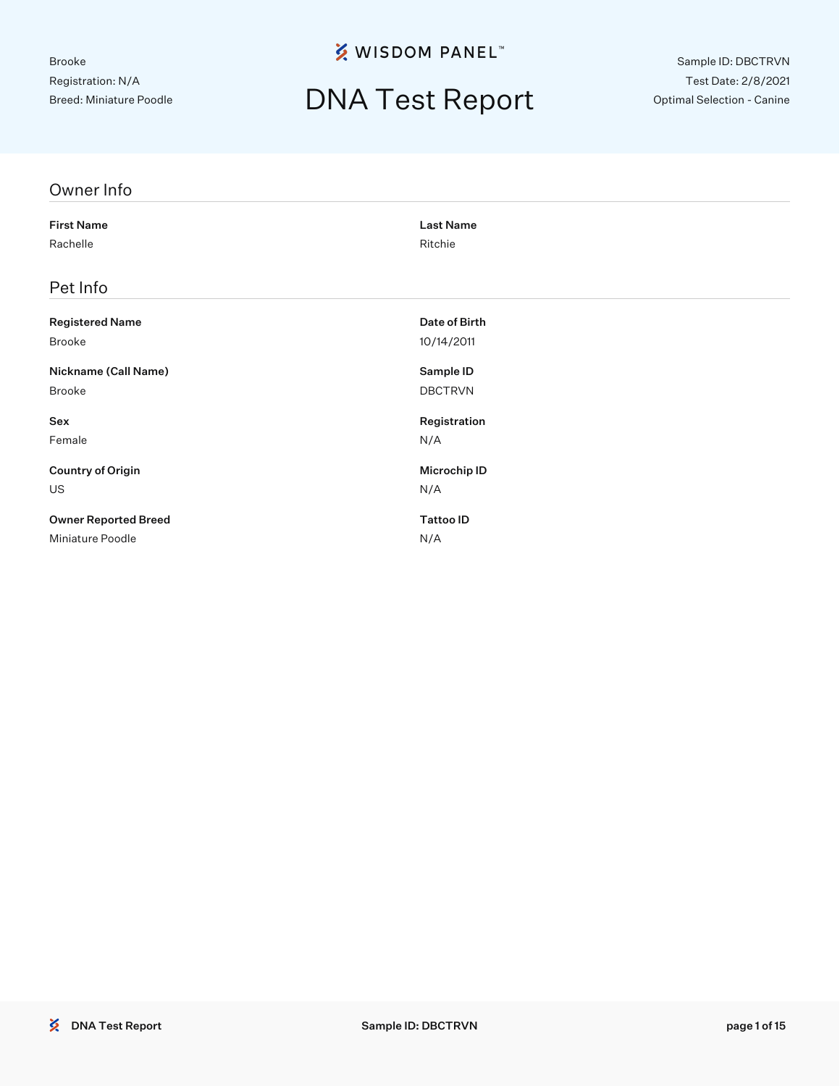## DNA Test Report

Sample ID: DBCTRVN Test Date: 2/8/2021 Optimal Selection - Canine

| Owner Info                  |                     |
|-----------------------------|---------------------|
| <b>First Name</b>           | <b>Last Name</b>    |
| Rachelle                    | Ritchie             |
| Pet Info                    |                     |
| <b>Registered Name</b>      | Date of Birth       |
| Brooke                      | 10/14/2011          |
| Nickname (Call Name)        | Sample ID           |
| Brooke                      | <b>DBCTRVN</b>      |
| Sex                         | Registration        |
| Female                      | N/A                 |
| <b>Country of Origin</b>    | <b>Microchip ID</b> |
| US                          | N/A                 |
| <b>Owner Reported Breed</b> | <b>Tattoo ID</b>    |
| Miniature Poodle            | N/A                 |
|                             |                     |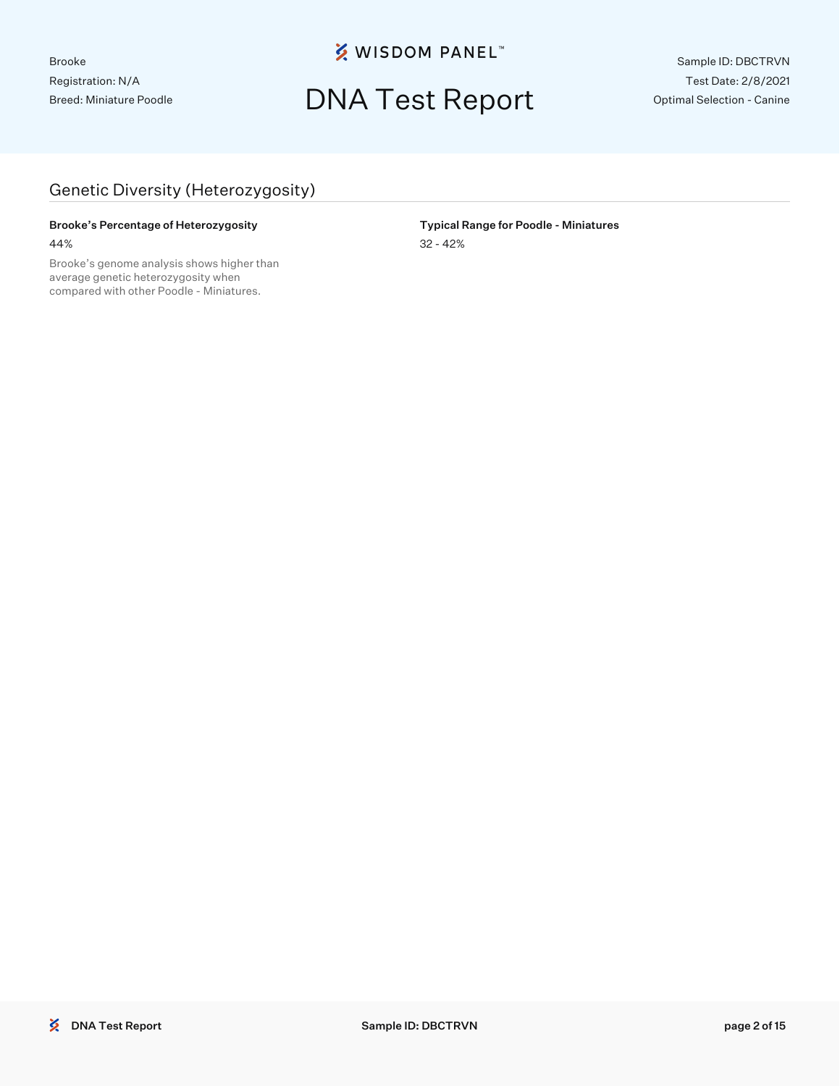## DNA Test Report

Sample ID: DBCTRVN Test Date: 2/8/2021 Optimal Selection - Canine

#### Genetic Diversity (Heterozygosity)

#### Brooke's Percentage of Heterozygosity **Typical Range for Poodle - Miniatures** 44% 32 - 42%

Brooke's genome analysis shows higher than average genetic heterozygosity when compared with other Poodle - Miniatures.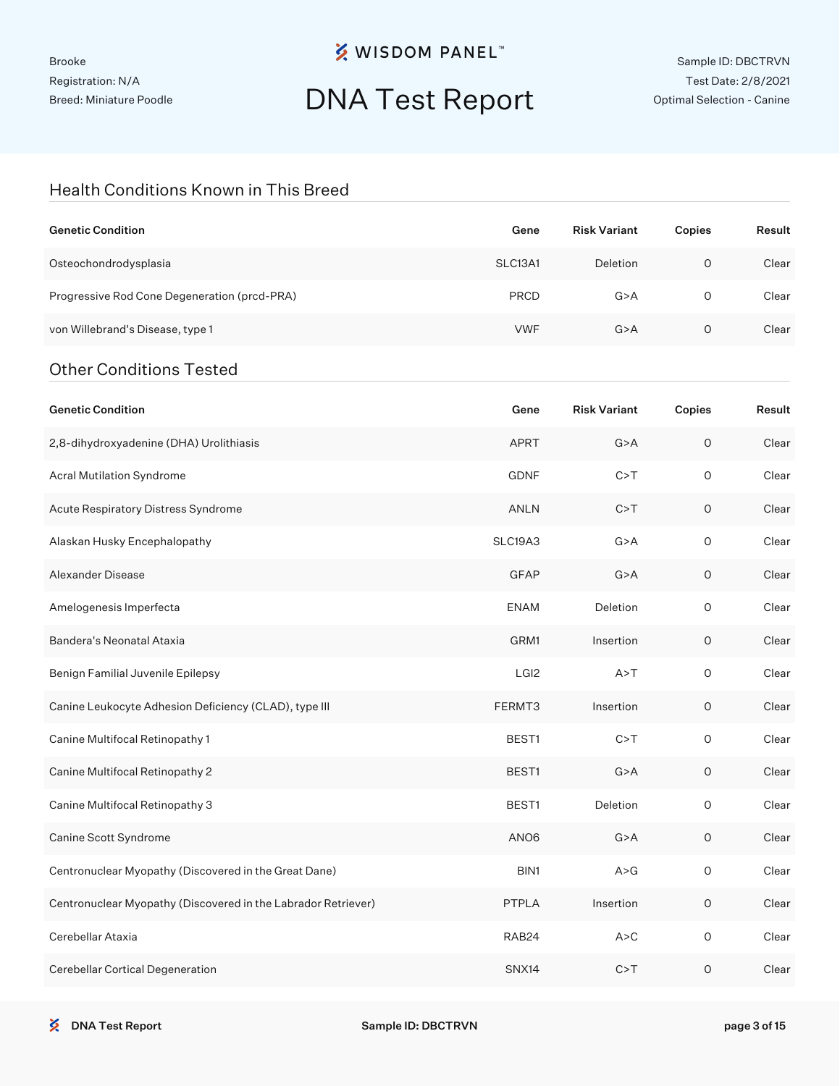Brooke Registration: N/A Breed: Miniature Poodle

### **※ WISDOM PANEL**™

# DNA Test Report

#### Health Conditions Known in This Breed

| <b>Genetic Condition</b>                                      | Gene             | <b>Risk Variant</b> | Copies      | Result |
|---------------------------------------------------------------|------------------|---------------------|-------------|--------|
| Osteochondrodysplasia                                         | SLC13A1          | Deletion            | $\circ$     | Clear  |
| Progressive Rod Cone Degeneration (prcd-PRA)                  | <b>PRCD</b>      | G > A               | 0           | Clear  |
| von Willebrand's Disease, type 1                              | <b>VWF</b>       | G > A               | 0           | Clear  |
| <b>Other Conditions Tested</b>                                |                  |                     |             |        |
| <b>Genetic Condition</b>                                      | Gene             | <b>Risk Variant</b> | Copies      | Result |
| 2,8-dihydroxyadenine (DHA) Urolithiasis                       | APRT             | G > A               | $\mathsf O$ | Clear  |
| Acral Mutilation Syndrome                                     | <b>GDNF</b>      | C > T               | $\circ$     | Clear  |
| Acute Respiratory Distress Syndrome                           | ANLN             | C > T               | 0           | Clear  |
| Alaskan Husky Encephalopathy                                  | SLC19A3          | G > A               | $\circ$     | Clear  |
| Alexander Disease                                             | <b>GFAP</b>      | G > A               | 0           | Clear  |
| Amelogenesis Imperfecta                                       | <b>ENAM</b>      | Deletion            | $\circ$     | Clear  |
| Bandera's Neonatal Ataxia                                     | GRM1             | Insertion           | 0           | Clear  |
| Benign Familial Juvenile Epilepsy                             | LGI <sub>2</sub> | A > T               | $\circ$     | Clear  |
| Canine Leukocyte Adhesion Deficiency (CLAD), type III         | FERMT3           | Insertion           | 0           | Clear  |
| Canine Multifocal Retinopathy 1                               | BEST1            | C > T               | $\circ$     | Clear  |
| Canine Multifocal Retinopathy 2                               | BEST1            | G > A               | $\circ$     | Clear  |
| Canine Multifocal Retinopathy 3                               | BEST1            | Deletion            | $\circ$     | Clear  |
| Canine Scott Syndrome                                         | ANO <sub>6</sub> | G > A               | $\circ$     | Clear  |
| Centronuclear Myopathy (Discovered in the Great Dane)         | BIN1             | A > G               | $\mathsf O$ | Clear  |
| Centronuclear Myopathy (Discovered in the Labrador Retriever) | PTPLA            | Insertion           | $\mathsf O$ | Clear  |
| Cerebellar Ataxia                                             | RAB24            | A > C               | $\mathsf O$ | Clear  |
| Cerebellar Cortical Degeneration                              | SNX14            | C > T               | $\mathsf O$ | Clear  |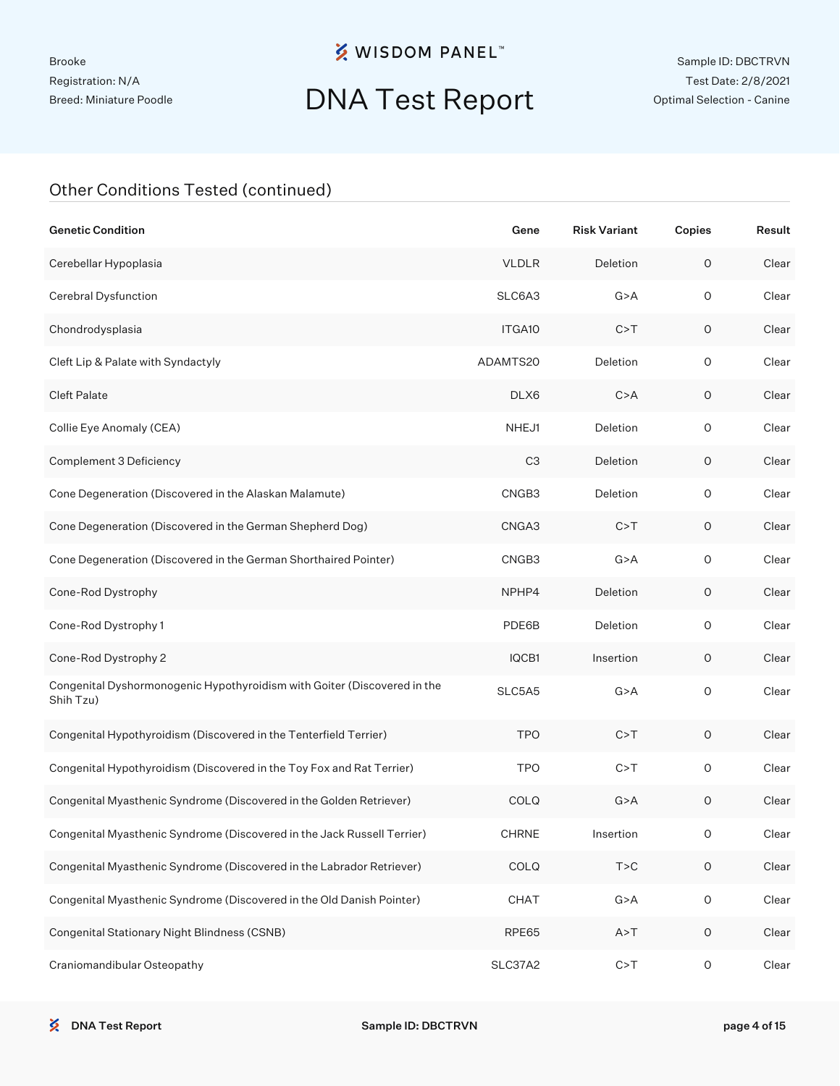Brooke Registration: N/A Breed: Miniature Poodle

### **※ WISDOM PANEL**™

# DNA Test Report

| <b>Genetic Condition</b>                                                              | Gene               | <b>Risk Variant</b> | Copies              | Result |
|---------------------------------------------------------------------------------------|--------------------|---------------------|---------------------|--------|
| Cerebellar Hypoplasia                                                                 | <b>VLDLR</b>       | Deletion            | $\mathsf O$         | Clear  |
| Cerebral Dysfunction                                                                  | SLC6A3             | G > A               | $\mathsf O$         | Clear  |
| Chondrodysplasia                                                                      | ITGA <sub>10</sub> | C > T               | $\mathsf O$         | Clear  |
| Cleft Lip & Palate with Syndactyly                                                    | ADAMTS20           | Deletion            | $\circ$             | Clear  |
| <b>Cleft Palate</b>                                                                   | DLX6               | C > A               | $\circ$             | Clear  |
| Collie Eye Anomaly (CEA)                                                              | NHEJ1              | Deletion            | $\circ$             | Clear  |
| Complement 3 Deficiency                                                               | C <sub>3</sub>     | Deletion            | $\circ$             | Clear  |
| Cone Degeneration (Discovered in the Alaskan Malamute)                                | CNGB3              | Deletion            | $\circ$             | Clear  |
| Cone Degeneration (Discovered in the German Shepherd Dog)                             | CNGA3              | C > T               | $\circ$             | Clear  |
| Cone Degeneration (Discovered in the German Shorthaired Pointer)                      | CNGB3              | G > A               | $\mathsf O$         | Clear  |
| Cone-Rod Dystrophy                                                                    | NPHP4              | Deletion            | $\circ$             | Clear  |
| Cone-Rod Dystrophy 1                                                                  | PDE6B              | Deletion            | $\circ$             | Clear  |
| Cone-Rod Dystrophy 2                                                                  | IQCB1              | Insertion           | $\circ$             | Clear  |
| Congenital Dyshormonogenic Hypothyroidism with Goiter (Discovered in the<br>Shih Tzu) | SLC5A5             | G > A               | $\mathsf{O}\xspace$ | Clear  |
| Congenital Hypothyroidism (Discovered in the Tenterfield Terrier)                     | <b>TPO</b>         | C > T               | 0                   | Clear  |
| Congenital Hypothyroidism (Discovered in the Toy Fox and Rat Terrier)                 | <b>TPO</b>         | C > T               | 0                   | Clear  |
| Congenital Myasthenic Syndrome (Discovered in the Golden Retriever)                   | <b>COLQ</b>        | G > A               | 0                   | Clear  |
| Congenital Myasthenic Syndrome (Discovered in the Jack Russell Terrier)               | <b>CHRNE</b>       | Insertion           | O                   | Clear  |
| Congenital Myasthenic Syndrome (Discovered in the Labrador Retriever)                 | COLQ               | T > C               | $\mathsf O$         | Clear  |
| Congenital Myasthenic Syndrome (Discovered in the Old Danish Pointer)                 | CHAT               | G > A               | $\mathsf{O}\xspace$ | Clear  |
| Congenital Stationary Night Blindness (CSNB)                                          | RPE65              | A > T               | $\circ$             | Clear  |
| Craniomandibular Osteopathy                                                           | SLC37A2            | C > T               | O                   | Clear  |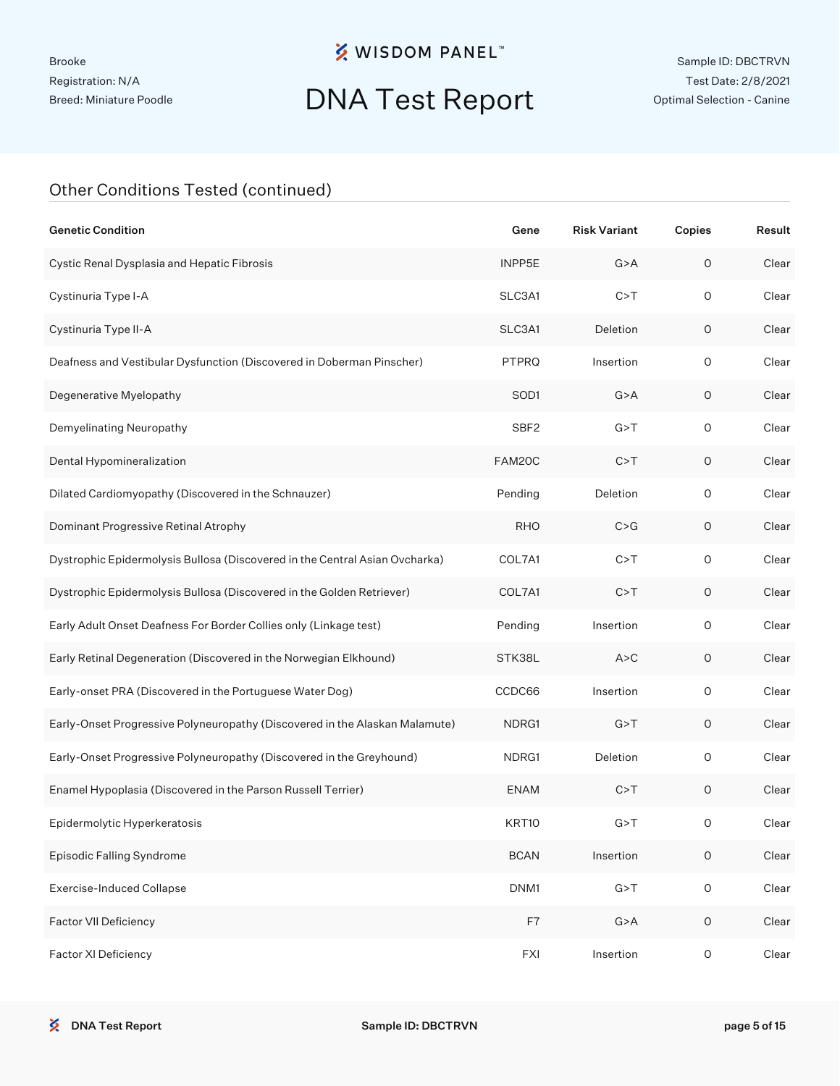# DNA Test Report

| <b>Genetic Condition</b>                                                    | Gene             | <b>Risk Variant</b> | Copies              | Result |
|-----------------------------------------------------------------------------|------------------|---------------------|---------------------|--------|
| Cystic Renal Dysplasia and Hepatic Fibrosis                                 | INPP5E           | G > A               | $\mathsf O$         | Clear  |
| Cystinuria Type I-A                                                         | SLC3A1           | C > T               | $\circ$             | Clear  |
| Cystinuria Type II-A                                                        | SLC3A1           | Deletion            | $\mathsf O$         | Clear  |
| Deafness and Vestibular Dysfunction (Discovered in Doberman Pinscher)       | PTPRQ            | Insertion           | $\circ$             | Clear  |
| Degenerative Myelopathy                                                     | SOD1             | G > A               | $\mathsf O$         | Clear  |
| Demyelinating Neuropathy                                                    | SBF <sub>2</sub> | G > T               | $\circ$             | Clear  |
| Dental Hypomineralization                                                   | FAM20C           | C > T               | $\mathsf O$         | Clear  |
| Dilated Cardiomyopathy (Discovered in the Schnauzer)                        | Pending          | Deletion            | $\circ$             | Clear  |
| Dominant Progressive Retinal Atrophy                                        | <b>RHO</b>       | C > G               | $\mathsf O$         | Clear  |
| Dystrophic Epidermolysis Bullosa (Discovered in the Central Asian Ovcharka) | COL7A1           | C > T               | $\circ$             | Clear  |
| Dystrophic Epidermolysis Bullosa (Discovered in the Golden Retriever)       | COL7A1           | C > T               | $\mathsf O$         | Clear  |
| Early Adult Onset Deafness For Border Collies only (Linkage test)           | Pending          | Insertion           | $\circ$             | Clear  |
| Early Retinal Degeneration (Discovered in the Norwegian Elkhound)           | STK38L           | A > C               | $\mathsf O$         | Clear  |
| Early-onset PRA (Discovered in the Portuguese Water Dog)                    | CCDC66           | Insertion           | $\circ$             | Clear  |
| Early-Onset Progressive Polyneuropathy (Discovered in the Alaskan Malamute) | NDRG1            | G > T               | $\mathsf O$         | Clear  |
| Early-Onset Progressive Polyneuropathy (Discovered in the Greyhound)        | NDRG1            | Deletion            | $\circ$             | Clear  |
| Enamel Hypoplasia (Discovered in the Parson Russell Terrier)                | <b>ENAM</b>      | C > T               | $\mathsf O$         | Clear  |
| Epidermolytic Hyperkeratosis                                                | KRT10            | G > T               | 0                   | Clear  |
| Episodic Falling Syndrome                                                   | <b>BCAN</b>      | Insertion           | $\mathsf O$         | Clear  |
| <b>Exercise-Induced Collapse</b>                                            | DNM1             | G > T               | $\mathsf{O}\xspace$ | Clear  |
| Factor VII Deficiency                                                       | F7               | G > A               | $\mathsf O$         | Clear  |
| Factor XI Deficiency                                                        | <b>FXI</b>       | Insertion           | $\mathsf O$         | Clear  |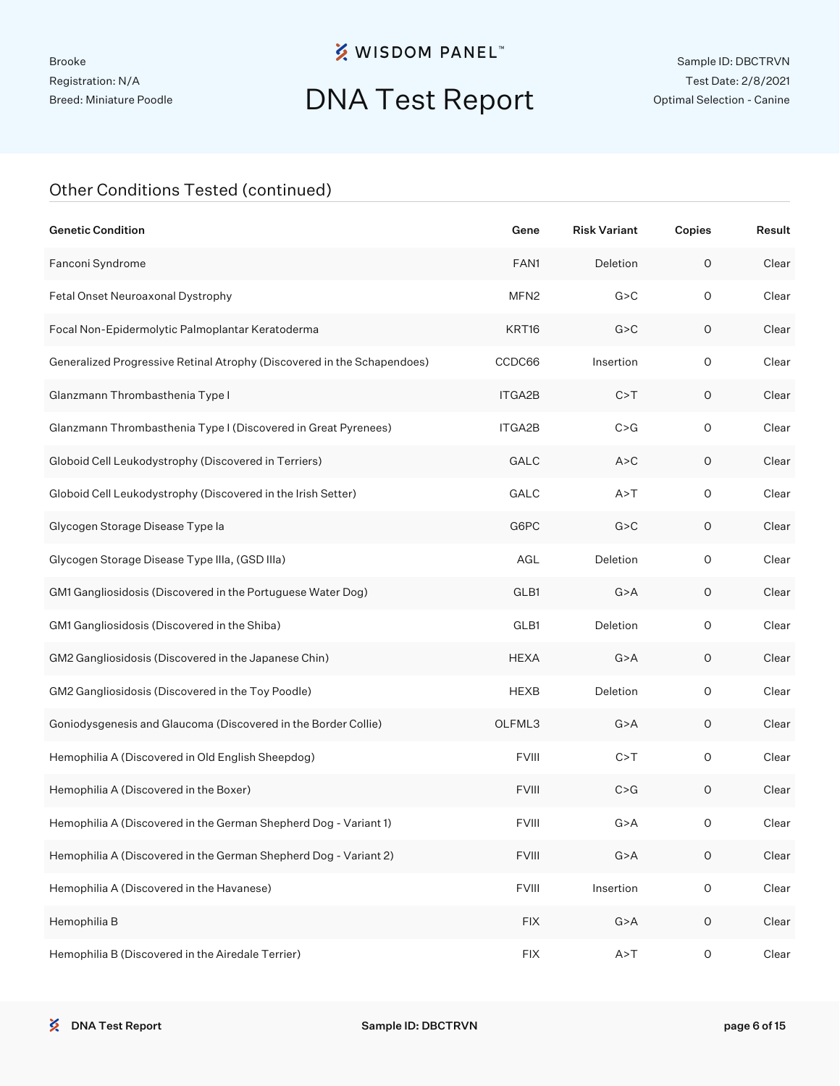# DNA Test Report

| <b>Genetic Condition</b>                                                | Gene             | <b>Risk Variant</b> | Copies              | Result |
|-------------------------------------------------------------------------|------------------|---------------------|---------------------|--------|
| Fanconi Syndrome                                                        | FAN1             | Deletion            | O                   | Clear  |
| Fetal Onset Neuroaxonal Dystrophy                                       | MFN <sub>2</sub> | G > C               | $\circ$             | Clear  |
| Focal Non-Epidermolytic Palmoplantar Keratoderma                        | KRT16            | G > C               | O                   | Clear  |
| Generalized Progressive Retinal Atrophy (Discovered in the Schapendoes) | CCDC66           | Insertion           | $\circ$             | Clear  |
| Glanzmann Thrombasthenia Type I                                         | ITGA2B           | C > T               | O                   | Clear  |
| Glanzmann Thrombasthenia Type I (Discovered in Great Pyrenees)          | ITGA2B           | C > G               | $\mathsf O$         | Clear  |
| Globoid Cell Leukodystrophy (Discovered in Terriers)                    | GALC             | A > C               | O                   | Clear  |
| Globoid Cell Leukodystrophy (Discovered in the Irish Setter)            | GALC             | A > T               | $\mathsf O$         | Clear  |
| Glycogen Storage Disease Type la                                        | G6PC             | G > C               | 0                   | Clear  |
| Glycogen Storage Disease Type IIIa, (GSD IIIa)                          | AGL              | Deletion            | $\mathsf O$         | Clear  |
| GM1 Gangliosidosis (Discovered in the Portuguese Water Dog)             | GLB1             | G > A               | 0                   | Clear  |
| GM1 Gangliosidosis (Discovered in the Shiba)                            | GLB1             | Deletion            | $\mathsf O$         | Clear  |
| GM2 Gangliosidosis (Discovered in the Japanese Chin)                    | <b>HEXA</b>      | G > A               | 0                   | Clear  |
| GM2 Gangliosidosis (Discovered in the Toy Poodle)                       | <b>HEXB</b>      | Deletion            | $\mathsf O$         | Clear  |
| Goniodysgenesis and Glaucoma (Discovered in the Border Collie)          | OLFML3           | G > A               | 0                   | Clear  |
| Hemophilia A (Discovered in Old English Sheepdog)                       | <b>FVIII</b>     | C > T               | $\circ$             | Clear  |
| Hemophilia A (Discovered in the Boxer)                                  | <b>FVIII</b>     | C > G               | 0                   | Clear  |
| Hemophilia A (Discovered in the German Shepherd Dog - Variant 1)        | <b>FVIII</b>     | G > A               | 0                   | Clear  |
| Hemophilia A (Discovered in the German Shepherd Dog - Variant 2)        | <b>FVIII</b>     | G > A               | $\mathsf O$         | Clear  |
| Hemophilia A (Discovered in the Havanese)                               | <b>FVIII</b>     | Insertion           | $\mathsf O$         | Clear  |
| Hemophilia B                                                            | <b>FIX</b>       | G > A               | $\mathsf{O}\xspace$ | Clear  |
| Hemophilia B (Discovered in the Airedale Terrier)                       | <b>FIX</b>       | A > T               | $\mathsf O$         | Clear  |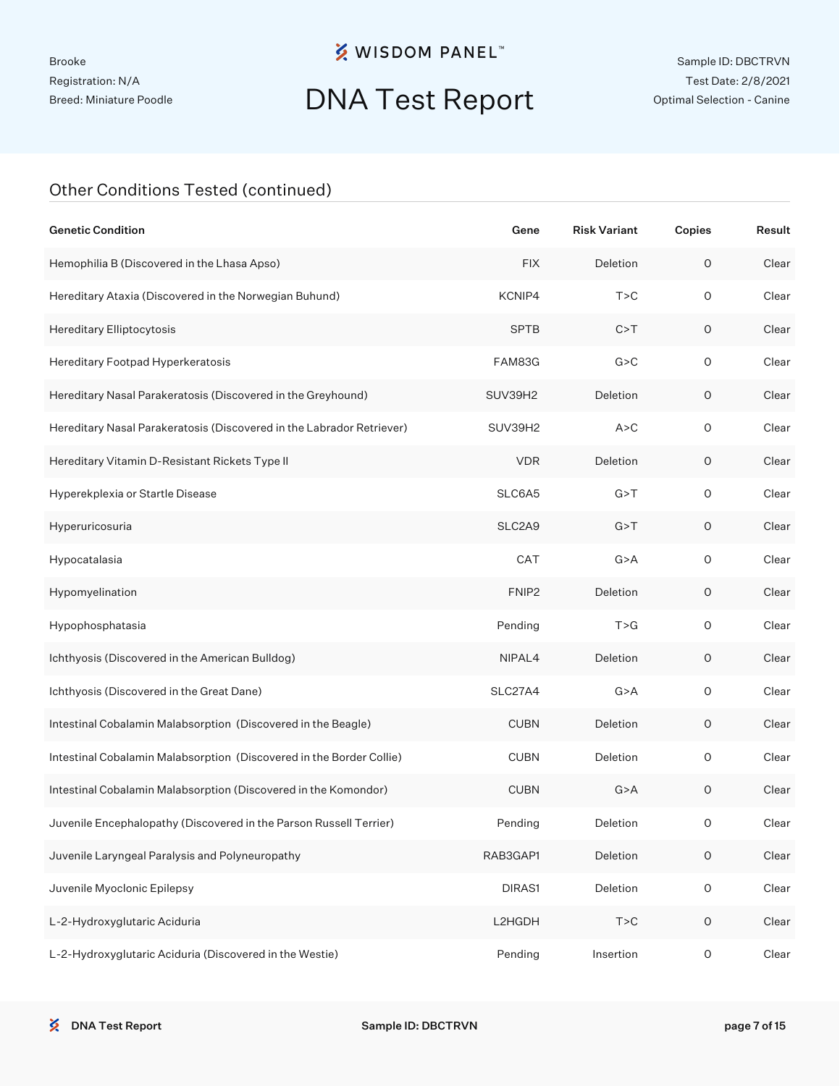# DNA Test Report

| <b>Genetic Condition</b>                                              | Gene              | <b>Risk Variant</b> | Copies              | Result |
|-----------------------------------------------------------------------|-------------------|---------------------|---------------------|--------|
| Hemophilia B (Discovered in the Lhasa Apso)                           | <b>FIX</b>        | Deletion            | $\mathsf O$         | Clear  |
| Hereditary Ataxia (Discovered in the Norwegian Buhund)                | KCNIP4            | T > C               | $\circ$             | Clear  |
| Hereditary Elliptocytosis                                             | <b>SPTB</b>       | C > T               | $\mathsf O$         | Clear  |
| Hereditary Footpad Hyperkeratosis                                     | FAM83G            | G > C               | $\circ$             | Clear  |
| Hereditary Nasal Parakeratosis (Discovered in the Greyhound)          | SUV39H2           | Deletion            | O                   | Clear  |
| Hereditary Nasal Parakeratosis (Discovered in the Labrador Retriever) | SUV39H2           | A > C               | $\circ$             | Clear  |
| Hereditary Vitamin D-Resistant Rickets Type II                        | <b>VDR</b>        | Deletion            | $\mathsf O$         | Clear  |
| Hyperekplexia or Startle Disease                                      | SLC6A5            | G > T               | $\circ$             | Clear  |
| Hyperuricosuria                                                       | SLC2A9            | G > T               | $\mathsf O$         | Clear  |
| Hypocatalasia                                                         | CAT               | G > A               | $\circ$             | Clear  |
| Hypomyelination                                                       | FNIP <sub>2</sub> | Deletion            | $\mathsf O$         | Clear  |
| Hypophosphatasia                                                      | Pending           | T > G               | $\circ$             | Clear  |
| Ichthyosis (Discovered in the American Bulldog)                       | NIPAL4            | Deletion            | $\mathsf O$         | Clear  |
| Ichthyosis (Discovered in the Great Dane)                             | SLC27A4           | G > A               | $\circ$             | Clear  |
| Intestinal Cobalamin Malabsorption (Discovered in the Beagle)         | <b>CUBN</b>       | Deletion            | $\mathsf O$         | Clear  |
| Intestinal Cobalamin Malabsorption (Discovered in the Border Collie)  | <b>CUBN</b>       | Deletion            | $\circ$             | Clear  |
| Intestinal Cobalamin Malabsorption (Discovered in the Komondor)       | <b>CUBN</b>       | G > A               | $\mathsf O$         | Clear  |
| Juvenile Encephalopathy (Discovered in the Parson Russell Terrier)    | Pending           | Deletion            | O                   | Clear  |
| Juvenile Laryngeal Paralysis and Polyneuropathy                       | RAB3GAP1          | Deletion            | $\mathsf O$         | Clear  |
| Juvenile Myoclonic Epilepsy                                           | DIRAS1            | Deletion            | $\mathsf{O}\xspace$ | Clear  |
| L-2-Hydroxyglutaric Aciduria                                          | L2HGDH            | T > C               | $\mathsf O$         | Clear  |
| L-2-Hydroxyglutaric Aciduria (Discovered in the Westie)               | Pending           | Insertion           | $\mathsf{O}\xspace$ | Clear  |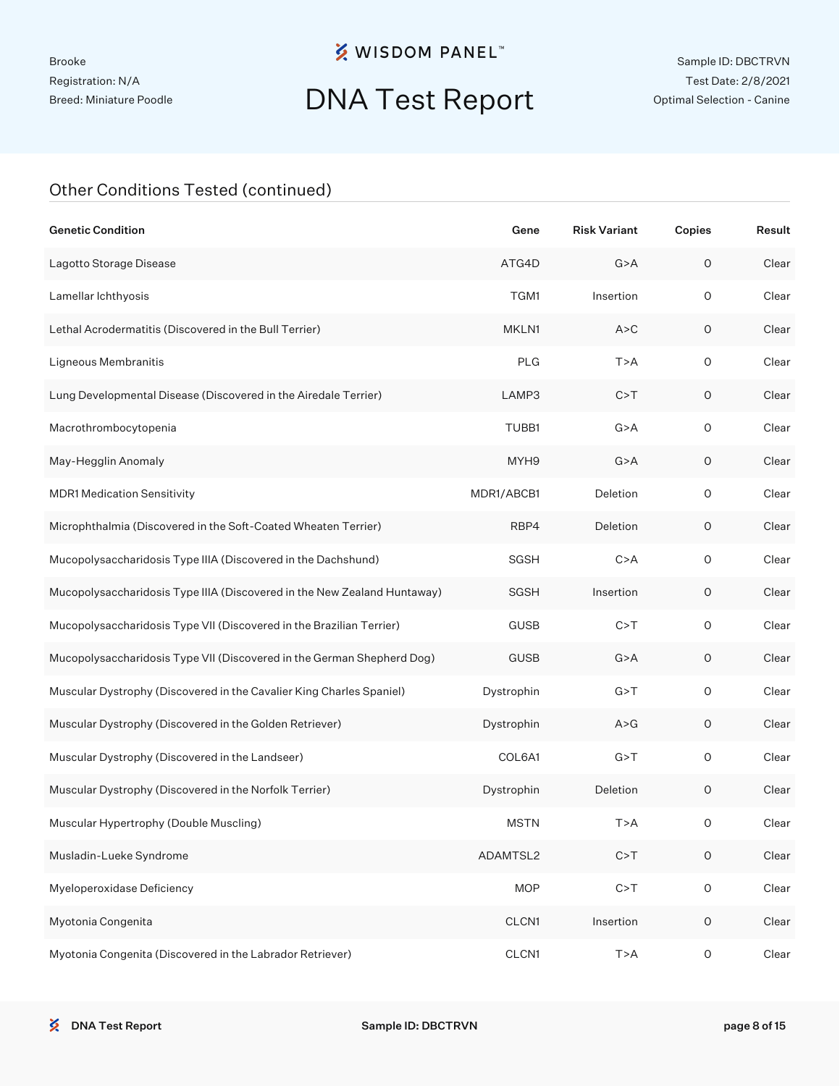# DNA Test Report

| <b>Genetic Condition</b>                                                 | Gene        | <b>Risk Variant</b> | Copies      | Result |
|--------------------------------------------------------------------------|-------------|---------------------|-------------|--------|
| Lagotto Storage Disease                                                  | ATG4D       | G > A               | $\mathsf O$ | Clear  |
| Lamellar lchthyosis                                                      | TGM1        | Insertion           | $\circ$     | Clear  |
| Lethal Acrodermatitis (Discovered in the Bull Terrier)                   | MKLN1       | A > C               | $\mathsf O$ | Clear  |
| Ligneous Membranitis                                                     | <b>PLG</b>  | T > A               | $\circ$     | Clear  |
| Lung Developmental Disease (Discovered in the Airedale Terrier)          | LAMP3       | C > T               | 0           | Clear  |
| Macrothrombocytopenia                                                    | TUBB1       | G > A               | $\circ$     | Clear  |
| May-Hegglin Anomaly                                                      | MYH9        | G > A               | $\mathsf O$ | Clear  |
| <b>MDR1 Medication Sensitivity</b>                                       | MDR1/ABCB1  | Deletion            | $\circ$     | Clear  |
| Microphthalmia (Discovered in the Soft-Coated Wheaten Terrier)           | RBP4        | Deletion            | 0           | Clear  |
| Mucopolysaccharidosis Type IIIA (Discovered in the Dachshund)            | SGSH        | C > A               | $\circ$     | Clear  |
| Mucopolysaccharidosis Type IIIA (Discovered in the New Zealand Huntaway) | <b>SGSH</b> | Insertion           | 0           | Clear  |
| Mucopolysaccharidosis Type VII (Discovered in the Brazilian Terrier)     | <b>GUSB</b> | C > T               | $\circ$     | Clear  |
| Mucopolysaccharidosis Type VII (Discovered in the German Shepherd Dog)   | <b>GUSB</b> | G > A               | 0           | Clear  |
| Muscular Dystrophy (Discovered in the Cavalier King Charles Spaniel)     | Dystrophin  | G > T               | $\circ$     | Clear  |
| Muscular Dystrophy (Discovered in the Golden Retriever)                  | Dystrophin  | A > G               | 0           | Clear  |
| Muscular Dystrophy (Discovered in the Landseer)                          | COL6A1      | G > T               | $\circ$     | Clear  |
| Muscular Dystrophy (Discovered in the Norfolk Terrier)                   | Dystrophin  | Deletion            | $\mathsf O$ | Clear  |
| Muscular Hypertrophy (Double Muscling)                                   | <b>MSTN</b> | T>A                 | 0           | Clear  |
| Musladin-Lueke Syndrome                                                  | ADAMTSL2    | C > T               | $\mathsf O$ | Clear  |
| Myeloperoxidase Deficiency                                               | <b>MOP</b>  | C > T               | $\mathsf O$ | Clear  |
| Myotonia Congenita                                                       | CLCN1       | Insertion           | $\mathsf O$ | Clear  |
| Myotonia Congenita (Discovered in the Labrador Retriever)                | CLCN1       | T>A                 | $\mathsf O$ | Clear  |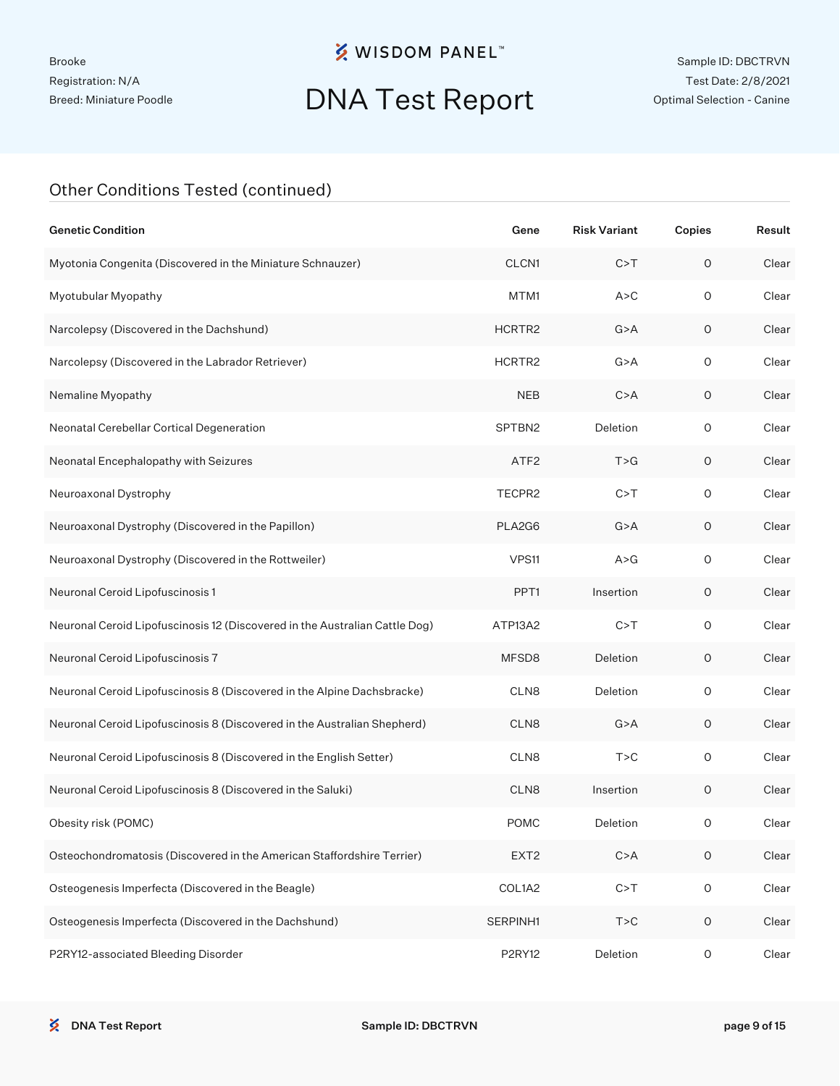# DNA Test Report

| <b>Genetic Condition</b>                                                    | Gene             | <b>Risk Variant</b> | Copies      | Result |
|-----------------------------------------------------------------------------|------------------|---------------------|-------------|--------|
| Myotonia Congenita (Discovered in the Miniature Schnauzer)                  | CLCN1            | C > T               | $\circ$     | Clear  |
| Myotubular Myopathy                                                         | MTM1             | A > C               | $\circ$     | Clear  |
| Narcolepsy (Discovered in the Dachshund)                                    | HCRTR2           | G > A               | $\mathsf O$ | Clear  |
| Narcolepsy (Discovered in the Labrador Retriever)                           | HCRTR2           | G > A               | $\circ$     | Clear  |
| Nemaline Myopathy                                                           | <b>NEB</b>       | C > A               | $\mathsf O$ | Clear  |
| Neonatal Cerebellar Cortical Degeneration                                   | SPTBN2           | Deletion            | $\circ$     | Clear  |
| Neonatal Encephalopathy with Seizures                                       | ATF <sub>2</sub> | T > G               | 0           | Clear  |
| Neuroaxonal Dystrophy                                                       | TECPR2           | C > T               | $\circ$     | Clear  |
| Neuroaxonal Dystrophy (Discovered in the Papillon)                          | PLA2G6           | G > A               | 0           | Clear  |
| Neuroaxonal Dystrophy (Discovered in the Rottweiler)                        | VPS11            | A > G               | $\circ$     | Clear  |
| Neuronal Ceroid Lipofuscinosis 1                                            | PPT <sub>1</sub> | Insertion           | 0           | Clear  |
| Neuronal Ceroid Lipofuscinosis 12 (Discovered in the Australian Cattle Dog) | ATP13A2          | C > T               | $\circ$     | Clear  |
| Neuronal Ceroid Lipofuscinosis 7                                            | MFSD8            | Deletion            | $\mathsf O$ | Clear  |
| Neuronal Ceroid Lipofuscinosis 8 (Discovered in the Alpine Dachsbracke)     | CLN8             | Deletion            | $\circ$     | Clear  |
| Neuronal Ceroid Lipofuscinosis 8 (Discovered in the Australian Shepherd)    | CLN8             | G > A               | 0           | Clear  |
| Neuronal Ceroid Lipofuscinosis 8 (Discovered in the English Setter)         | CLN8             | T > C               | $\circ$     | Clear  |
| Neuronal Ceroid Lipofuscinosis 8 (Discovered in the Saluki)                 | CLN8             | Insertion           | $\mathsf O$ | Clear  |
| Obesity risk (POMC)                                                         | <b>POMC</b>      | Deletion            | 0           | Clear  |
| Osteochondromatosis (Discovered in the American Staffordshire Terrier)      | EXT <sub>2</sub> | C > A               | $\mathsf O$ | Clear  |
| Osteogenesis Imperfecta (Discovered in the Beagle)                          | COL1A2           | C > T               | $\mathsf O$ | Clear  |
| Osteogenesis Imperfecta (Discovered in the Dachshund)                       | SERPINH1         | T > C               | $\mathsf O$ | Clear  |
| P2RY12-associated Bleeding Disorder                                         | <b>P2RY12</b>    | Deletion            | $\mathsf O$ | Clear  |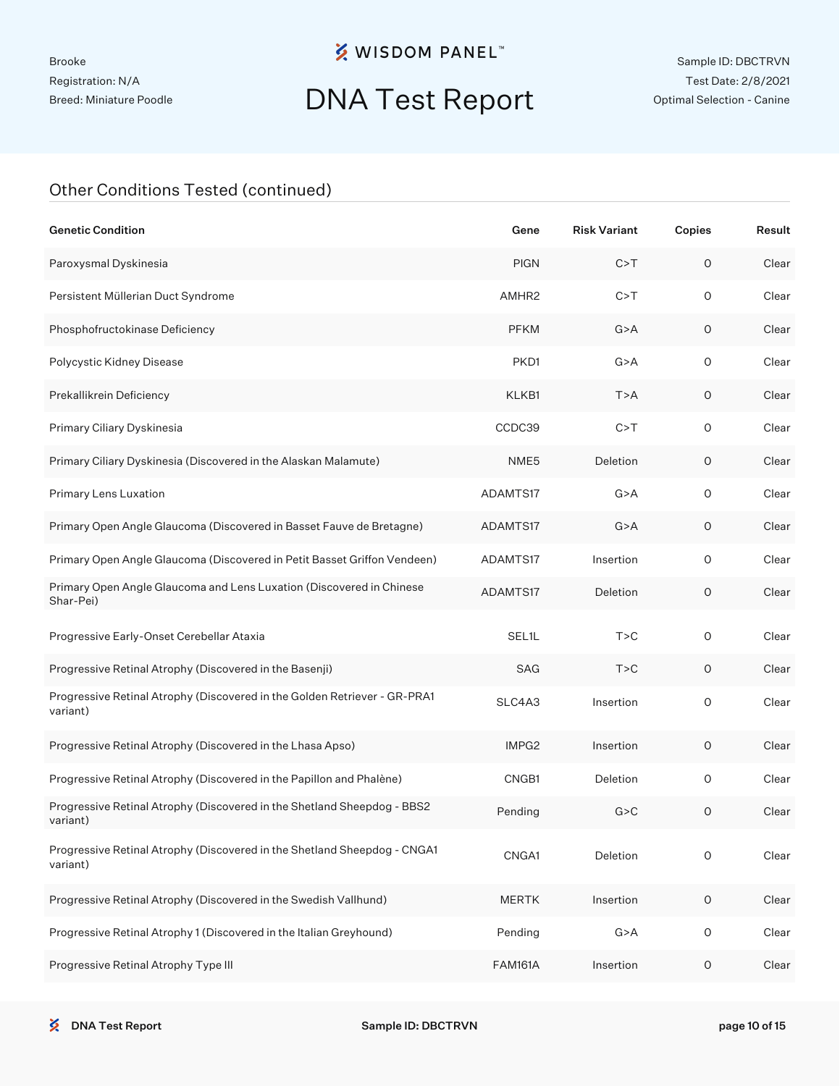# DNA Test Report

| <b>Genetic Condition</b>                                                              | Gene              | <b>Risk Variant</b> | Copies      | Result |
|---------------------------------------------------------------------------------------|-------------------|---------------------|-------------|--------|
| Paroxysmal Dyskinesia                                                                 | <b>PIGN</b>       | C > T               | $\circ$     | Clear  |
| Persistent Müllerian Duct Syndrome                                                    | AMHR <sub>2</sub> | C > T               | $\mathsf O$ | Clear  |
| Phosphofructokinase Deficiency                                                        | <b>PFKM</b>       | G > A               | $\circ$     | Clear  |
| Polycystic Kidney Disease                                                             | PKD1              | G > A               | $\circ$     | Clear  |
| Prekallikrein Deficiency                                                              | KLKB1             | T > A               | $\circ$     | Clear  |
| Primary Ciliary Dyskinesia                                                            | CCDC39            | C > T               | $\circ$     | Clear  |
| Primary Ciliary Dyskinesia (Discovered in the Alaskan Malamute)                       | NME5              | Deletion            | $\circ$     | Clear  |
| Primary Lens Luxation                                                                 | ADAMTS17          | G > A               | $\circ$     | Clear  |
| Primary Open Angle Glaucoma (Discovered in Basset Fauve de Bretagne)                  | ADAMTS17          | G > A               | $\circ$     | Clear  |
| Primary Open Angle Glaucoma (Discovered in Petit Basset Griffon Vendeen)              | ADAMTS17          | Insertion           | $\circ$     | Clear  |
| Primary Open Angle Glaucoma and Lens Luxation (Discovered in Chinese<br>Shar-Pei)     | ADAMTS17          | Deletion            | $\circ$     | Clear  |
| Progressive Early-Onset Cerebellar Ataxia                                             | SEL1L             | T > C               | 0           | Clear  |
| Progressive Retinal Atrophy (Discovered in the Basenji)                               | <b>SAG</b>        | T > C               | 0           | Clear  |
| Progressive Retinal Atrophy (Discovered in the Golden Retriever - GR-PRA1<br>variant) | SLC4A3            | Insertion           | 0           | Clear  |
| Progressive Retinal Atrophy (Discovered in the Lhasa Apso)                            | IMPG2             | Insertion           | 0           | Clear  |
| Progressive Retinal Atrophy (Discovered in the Papillon and Phalène)                  | CNGB1             | Deletion            | O           | Clear  |
| Progressive Retinal Atrophy (Discovered in the Shetland Sheepdog - BBS2<br>variant)   | Pending           | G > C               | O           | Clear  |
| Progressive Retinal Atrophy (Discovered in the Shetland Sheepdog - CNGA1<br>variant)  | CNGA1             | Deletion            | 0           | Clear  |
| Progressive Retinal Atrophy (Discovered in the Swedish Vallhund)                      | <b>MERTK</b>      | Insertion           | 0           | Clear  |
| Progressive Retinal Atrophy 1 (Discovered in the Italian Greyhound)                   | Pending           | G > A               | 0           | Clear  |
| Progressive Retinal Atrophy Type III                                                  | <b>FAM161A</b>    | Insertion           | $\circ$     | Clear  |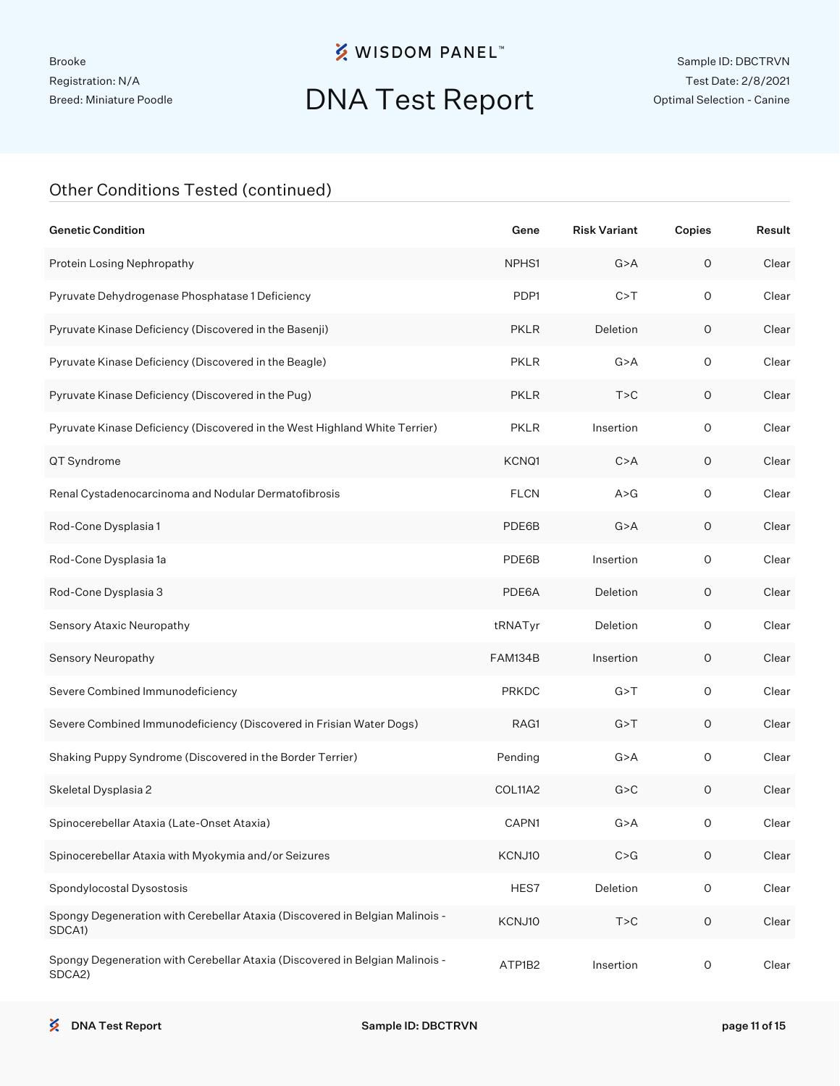# DNA Test Report

| <b>Genetic Condition</b>                                                               | Gene         | <b>Risk Variant</b> | Copies              | Result |
|----------------------------------------------------------------------------------------|--------------|---------------------|---------------------|--------|
| Protein Losing Nephropathy                                                             | NPHS1        | G > A               | 0                   | Clear  |
| Pyruvate Dehydrogenase Phosphatase 1 Deficiency                                        | PDP1         | C > T               | $\circ$             | Clear  |
| Pyruvate Kinase Deficiency (Discovered in the Basenji)                                 | <b>PKLR</b>  | Deletion            | 0                   | Clear  |
| Pyruvate Kinase Deficiency (Discovered in the Beagle)                                  | <b>PKLR</b>  | G > A               | $\circ$             | Clear  |
| Pyruvate Kinase Deficiency (Discovered in the Pug)                                     | <b>PKLR</b>  | T > C               | 0                   | Clear  |
| Pyruvate Kinase Deficiency (Discovered in the West Highland White Terrier)             | <b>PKLR</b>  | Insertion           | $\circ$             | Clear  |
| QT Syndrome                                                                            | KCNQ1        | C > A               | 0                   | Clear  |
| Renal Cystadenocarcinoma and Nodular Dermatofibrosis                                   | <b>FLCN</b>  | A > G               | $\mathsf O$         | Clear  |
| Rod-Cone Dysplasia 1                                                                   | PDE6B        | G > A               | 0                   | Clear  |
| Rod-Cone Dysplasia 1a                                                                  | PDE6B        | Insertion           | $\mathsf O$         | Clear  |
| Rod-Cone Dysplasia 3                                                                   | PDE6A        | Deletion            | 0                   | Clear  |
| Sensory Ataxic Neuropathy                                                              | tRNATyr      | Deletion            | $\mathsf O$         | Clear  |
| Sensory Neuropathy                                                                     | FAM134B      | Insertion           | 0                   | Clear  |
| Severe Combined Immunodeficiency                                                       | <b>PRKDC</b> | G > T               | $\mathsf O$         | Clear  |
| Severe Combined Immunodeficiency (Discovered in Frisian Water Dogs)                    | RAG1         | G > T               | 0                   | Clear  |
| Shaking Puppy Syndrome (Discovered in the Border Terrier)                              | Pending      | G > A               | $\mathsf O$         | Clear  |
| Skeletal Dysplasia 2                                                                   | COL11A2      | G > C               | 0                   | Clear  |
| Spinocerebellar Ataxia (Late-Onset Ataxia)                                             | CAPN1        | G > A               | 0                   | Clear  |
| Spinocerebellar Ataxia with Myokymia and/or Seizures                                   | KCNJ10       | C > G               | O                   | Clear  |
| Spondylocostal Dysostosis                                                              | HES7         | Deletion            | $\mathsf O$         | Clear  |
| Spongy Degeneration with Cerebellar Ataxia (Discovered in Belgian Malinois -<br>SDCA1) | KCNJ10       | T > C               | $\mathsf{O}\xspace$ | Clear  |
| Spongy Degeneration with Cerebellar Ataxia (Discovered in Belgian Malinois -<br>SDCA2) | ATP1B2       | Insertion           | $\mathsf O$         | Clear  |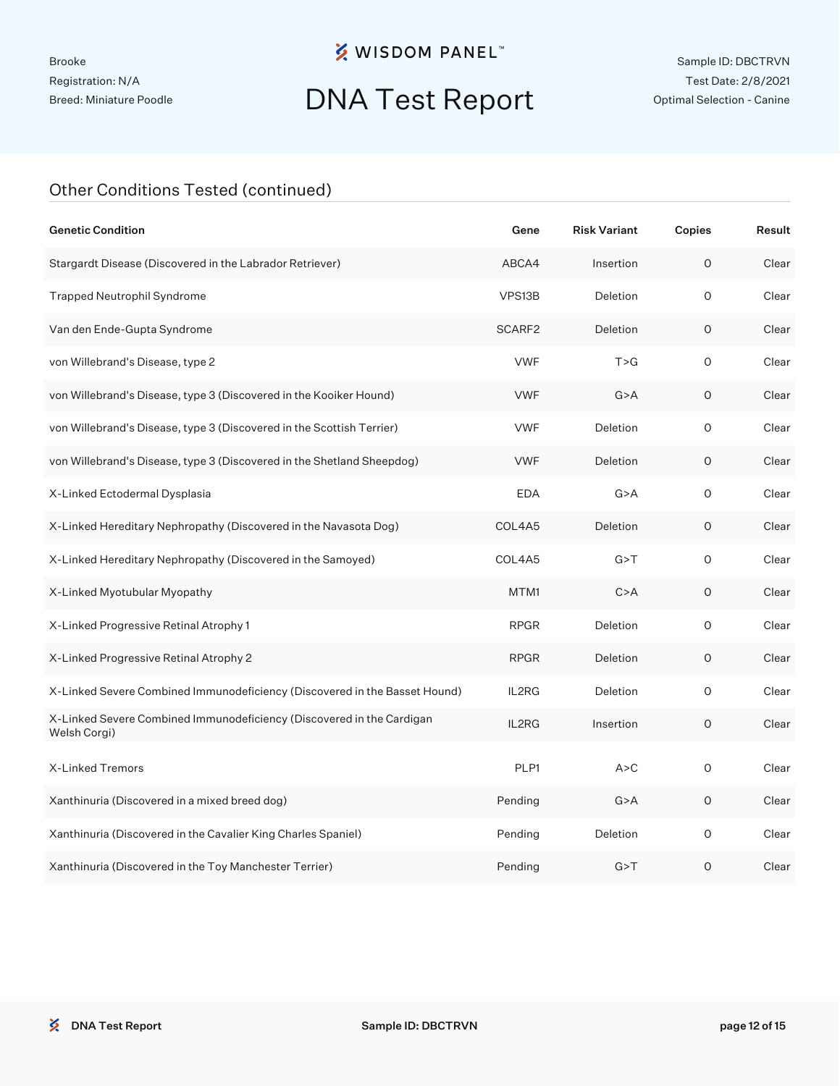# DNA Test Report

| <b>Genetic Condition</b>                                                              | Gene        | <b>Risk Variant</b> | Copies  | Result |
|---------------------------------------------------------------------------------------|-------------|---------------------|---------|--------|
| Stargardt Disease (Discovered in the Labrador Retriever)                              | ABCA4       | Insertion           | $\circ$ | Clear  |
| <b>Trapped Neutrophil Syndrome</b>                                                    | VPS13B      | Deletion            | 0       | Clear  |
| Van den Ende-Gupta Syndrome                                                           | SCARF2      | Deletion            | 0       | Clear  |
| von Willebrand's Disease, type 2                                                      | <b>VWF</b>  | T > G               | O       | Clear  |
| von Willebrand's Disease, type 3 (Discovered in the Kooiker Hound)                    | <b>VWF</b>  | G > A               | 0       | Clear  |
| von Willebrand's Disease, type 3 (Discovered in the Scottish Terrier)                 | <b>VWF</b>  | Deletion            | O       | Clear  |
| von Willebrand's Disease, type 3 (Discovered in the Shetland Sheepdog)                | <b>VWF</b>  | Deletion            | 0       | Clear  |
| X-Linked Ectodermal Dysplasia                                                         | <b>EDA</b>  | G > A               | 0       | Clear  |
| X-Linked Hereditary Nephropathy (Discovered in the Navasota Dog)                      | COL4A5      | Deletion            | O       | Clear  |
| X-Linked Hereditary Nephropathy (Discovered in the Samoyed)                           | COL4A5      | G > T               | 0       | Clear  |
| X-Linked Myotubular Myopathy                                                          | MTM1        | C > A               | O       | Clear  |
| X-Linked Progressive Retinal Atrophy 1                                                | <b>RPGR</b> | Deletion            | O       | Clear  |
| X-Linked Progressive Retinal Atrophy 2                                                | <b>RPGR</b> | Deletion            | O       | Clear  |
| X-Linked Severe Combined Immunodeficiency (Discovered in the Basset Hound)            | IL2RG       | Deletion            | O       | Clear  |
| X-Linked Severe Combined Immunodeficiency (Discovered in the Cardigan<br>Welsh Corgi) | IL2RG       | Insertion           | 0       | Clear  |
| X-Linked Tremors                                                                      | PLP1        | A > C               | 0       | Clear  |
| Xanthinuria (Discovered in a mixed breed dog)                                         | Pending     | G > A               | 0       | Clear  |
| Xanthinuria (Discovered in the Cavalier King Charles Spaniel)                         | Pending     | Deletion            | 0       | Clear  |
| Xanthinuria (Discovered in the Toy Manchester Terrier)                                | Pending     | G > T               | O       | Clear  |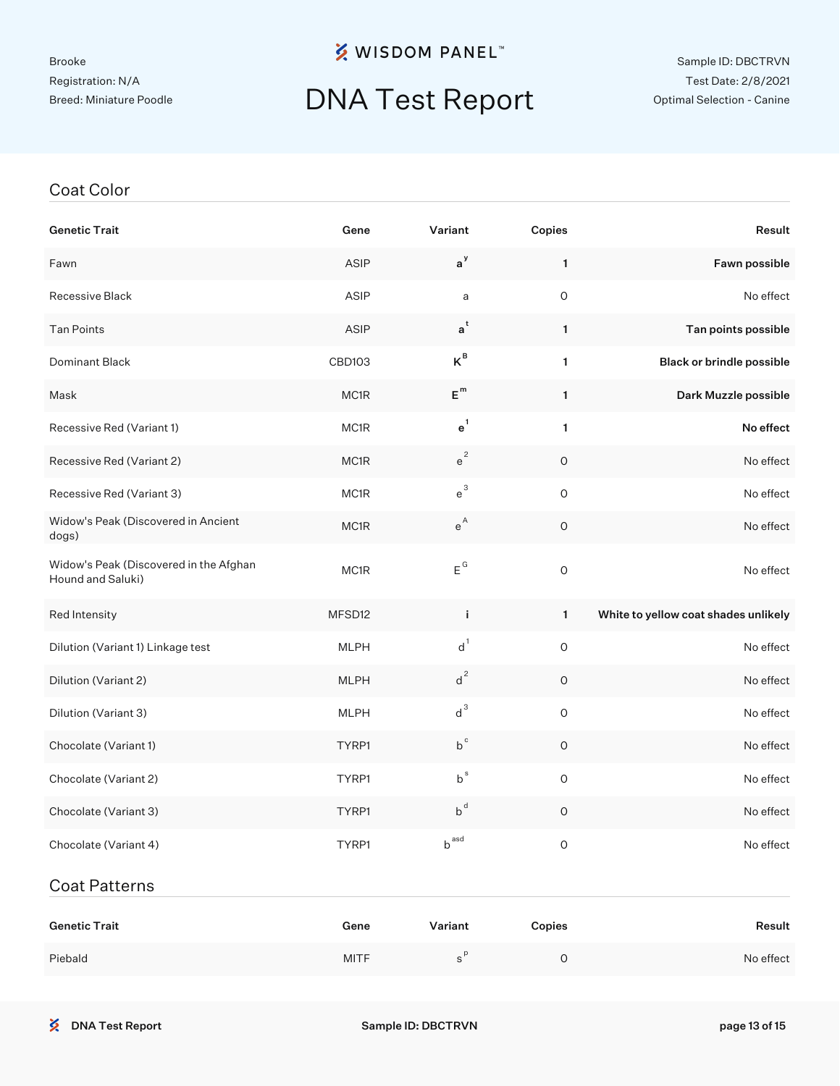#### Brooke Registration: N/A Breed: Miniature Poodle

### **※ WISDOM PANEL**™

## DNA Test Report

#### Sample ID: DBCTRVN Test Date: 2/8/2021 Optimal Selection - Canine

#### Coat Color

| <b>Genetic Trait</b>                                        | Gene          | Variant            | Copies       | Result                               |
|-------------------------------------------------------------|---------------|--------------------|--------------|--------------------------------------|
| Fawn                                                        | ASIP          | $a^y$              | $\mathbf{1}$ | Fawn possible                        |
| Recessive Black                                             | ASIP          | a                  | 0            | No effect                            |
| <b>Tan Points</b>                                           | <b>ASIP</b>   | $a^t$              | 1            | Tan points possible                  |
| Dominant Black                                              | <b>CBD103</b> | $K^{\text{B}}$     | $\mathbf{1}$ | <b>Black or brindle possible</b>     |
| Mask                                                        | MC1R          | $E^{m}$            | 1            | Dark Muzzle possible                 |
| Recessive Red (Variant 1)                                   | MC1R          | $e^1$              | 1            | No effect                            |
| Recessive Red (Variant 2)                                   | MC1R          | $e^2$              | 0            | No effect                            |
| Recessive Red (Variant 3)                                   | MC1R          | $e^{3}$            | 0            | No effect                            |
| Widow's Peak (Discovered in Ancient<br>dogs)                | MC1R          | $e^{A}$            | O            | No effect                            |
| Widow's Peak (Discovered in the Afghan<br>Hound and Saluki) | MC1R          | $E^G$              | 0            | No effect                            |
| Red Intensity                                               | MFSD12        | j.                 | $\mathbf{1}$ | White to yellow coat shades unlikely |
| Dilution (Variant 1) Linkage test                           | <b>MLPH</b>   | $d^1$              | $\mathsf O$  | No effect                            |
| Dilution (Variant 2)                                        | <b>MLPH</b>   | $d^2$              | 0            | No effect                            |
| Dilution (Variant 3)                                        | <b>MLPH</b>   | $d^3$              | 0            | No effect                            |
| Chocolate (Variant 1)                                       | TYRP1         | $b^c$              | $\circ$      | No effect                            |
| Chocolate (Variant 2)                                       | TYRP1         | $b^s$              | $\mathsf O$  | No effect                            |
| Chocolate (Variant 3)                                       | TYRP1         | $b^d$              | O            | No effect                            |
| Chocolate (Variant 4)                                       | TYRP1         | $b^{ \text{ asd}}$ | 0            | No effect                            |
| <b>Coat Patterns</b>                                        |               |                    |              |                                      |

| <b>Genetic Trait</b> | Gene        | Variant | Copies | Result    |
|----------------------|-------------|---------|--------|-----------|
| Piebald              | <b>MITF</b> |         |        | No effect |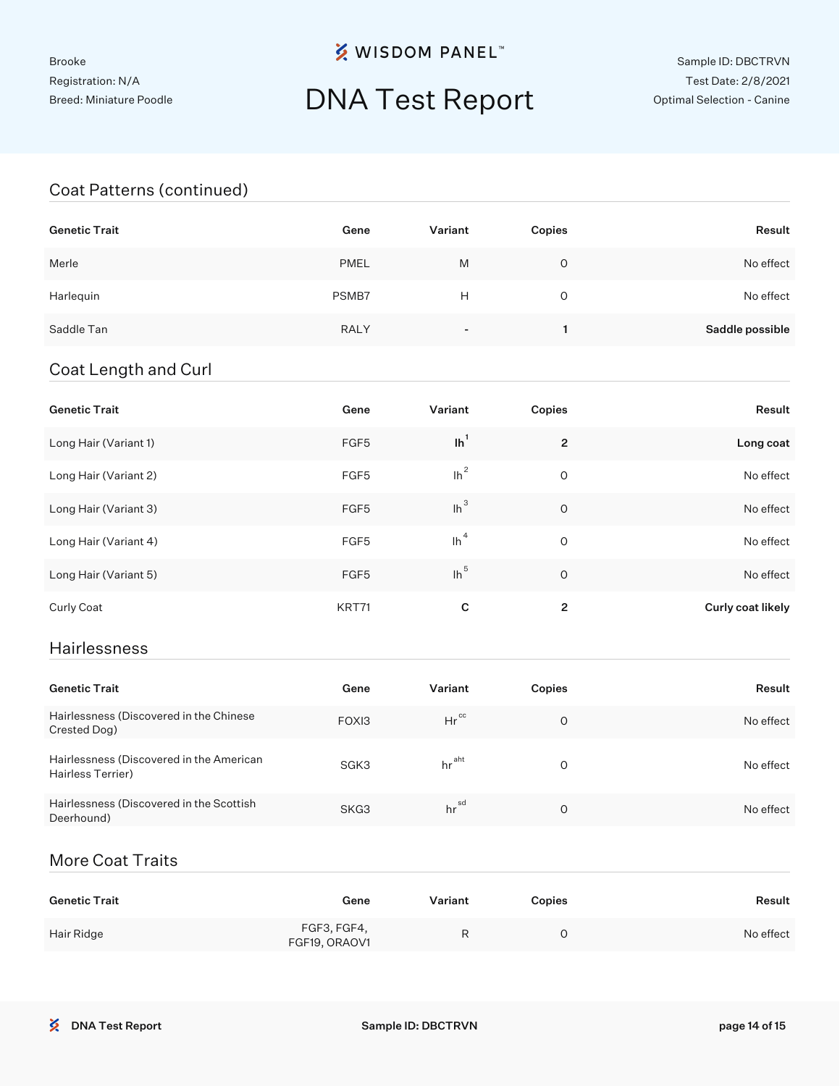## DNA Test Report

#### Coat Patterns (continued)

| <b>Genetic Trait</b> | Gene        | Variant | Copies | Result          |
|----------------------|-------------|---------|--------|-----------------|
| Merle                | <b>PMEL</b> | M       | 0      | No effect       |
| Harlequin            | PSMB7       | Н       | 0      | No effect       |
| Saddle Tan           | <b>RALY</b> |         |        | Saddle possible |

#### Coat Length and Curl

| <b>Genetic Trait</b>  | Gene  | Variant | Copies         | Result            |
|-----------------------|-------|---------|----------------|-------------------|
| Long Hair (Variant 1) | FGF5  | $lh^1$  | $\overline{2}$ | Long coat         |
| Long Hair (Variant 2) | FGF5  | $lh^2$  | 0              | No effect         |
| Long Hair (Variant 3) | FGF5  | $lh^3$  | $\circ$        | No effect         |
| Long Hair (Variant 4) | FGF5  | $\ln^4$ | 0              | No effect         |
| Long Hair (Variant 5) | FGF5  | $lh^5$  | O              | No effect         |
| Curly Coat            | KRT71 | C       | 2              | Curly coat likely |

#### Hairlessness

| <b>Genetic Trait</b>                                          | Gene  | Variant           | Copies | Result    |
|---------------------------------------------------------------|-------|-------------------|--------|-----------|
| Hairlessness (Discovered in the Chinese<br>Crested Dog)       | FOXI3 | $Hr^{cc}$         | O      | No effect |
| Hairlessness (Discovered in the American<br>Hairless Terrier) | SGK3  | hr <sup>aht</sup> | O      | No effect |
| Hairlessness (Discovered in the Scottish<br>Deerhound)        | SKG3  | hr <sup>sd</sup>  | O      | No effect |

### More Coat Traits

| <b>Genetic Trait</b> | Gene                         | Variant | <b>Copies</b> | Result    |
|----------------------|------------------------------|---------|---------------|-----------|
| Hair Ridge           | FGF3, FGF4,<br>FGF19, ORAOV1 | R       |               | No effect |